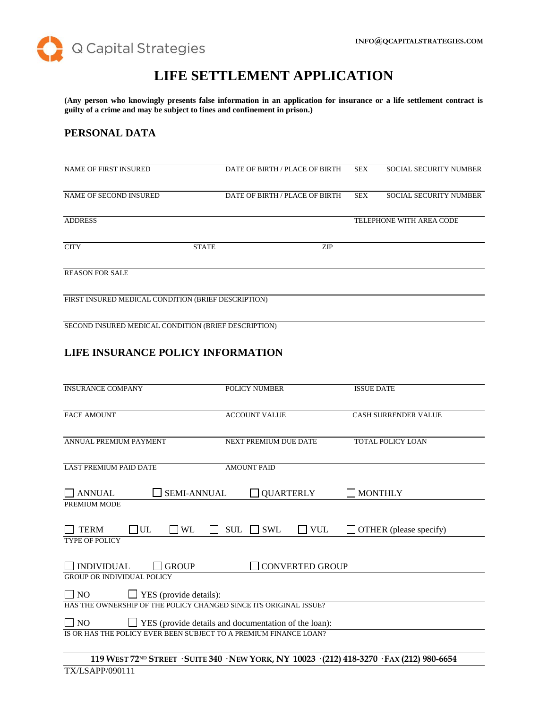

# **LIFE SETTLEMENT APPLICATION**

**(Any person who knowingly presents false information in an application for insurance or a life settlement contract is guilty of a crime and may be subject to fines and confinement in prison.)**

# **PERSONAL DATA**

| <b>NAME OF FIRST INSURED</b>                        |              | DATE OF BIRTH / PLACE OF BIRTH | <b>SEX</b> | <b>SOCIAL SECURITY NUMBER</b> |
|-----------------------------------------------------|--------------|--------------------------------|------------|-------------------------------|
| NAME OF SECOND INSURED                              |              | DATE OF BIRTH / PLACE OF BIRTH | <b>SEX</b> | <b>SOCIAL SECURITY NUMBER</b> |
| <b>ADDRESS</b>                                      |              |                                |            | TELEPHONE WITH AREA CODE      |
|                                                     |              |                                |            |                               |
| <b>CITY</b>                                         | <b>STATE</b> | <b>ZIP</b>                     |            |                               |
| <b>REASON FOR SALE</b>                              |              |                                |            |                               |
| FIRST INSURED MEDICAL CONDITION (BRIEF DESCRIPTION) |              |                                |            |                               |
|                                                     |              |                                |            |                               |

SECOND INSURED MEDICAL CONDITION (BRIEF DESCRIPTION)

# **LIFE INSURANCE POLICY INFORMATION**

| <b>INSURANCE COMPANY</b>                                          | <b>POLICY NUMBER</b>                                 | <b>ISSUE DATE</b>           |
|-------------------------------------------------------------------|------------------------------------------------------|-----------------------------|
| <b>FACE AMOUNT</b>                                                | <b>ACCOUNT VALUE</b>                                 | <b>CASH SURRENDER VALUE</b> |
| ANNUAL PREMIUM PAYMENT                                            | NEXT PREMIUM DUE DATE                                | TOTAL POLICY LOAN           |
| <b>LAST PREMIUM PAID DATE</b>                                     | <b>AMOUNT PAID</b>                                   |                             |
| <b>SEMI-ANNUAL</b><br><b>ANNUAL</b>                               | <b>QUARTERLY</b>                                     | <b>MONTHLY</b>              |
| PREMIUM MODE                                                      |                                                      |                             |
| $\Box$ UL<br>$\Box$ WL<br><b>TERM</b>                             | <b>SWL</b><br>$\Box$ VUL<br><b>SUL</b>               | OTHER (please specify)      |
| <b>TYPE OF POLICY</b>                                             |                                                      |                             |
| <b>INDIVIDUAL</b><br><b>GROUP</b>                                 | <b>CONVERTED GROUP</b>                               |                             |
| <b>GROUP OR INDIVIDUAL POLICY</b>                                 |                                                      |                             |
| $\Box$ NO<br>YES (provide details):                               |                                                      |                             |
| HAS THE OWNERSHIP OF THE POLICY CHANGED SINCE ITS ORIGINAL ISSUE? |                                                      |                             |
| $\Box$ NO                                                         | YES (provide details and documentation of the loan): |                             |
| IS OR HAS THE POLICY EVER BEEN SUBJECT TO A PREMIUM FINANCE LOAN? |                                                      |                             |
|                                                                   |                                                      |                             |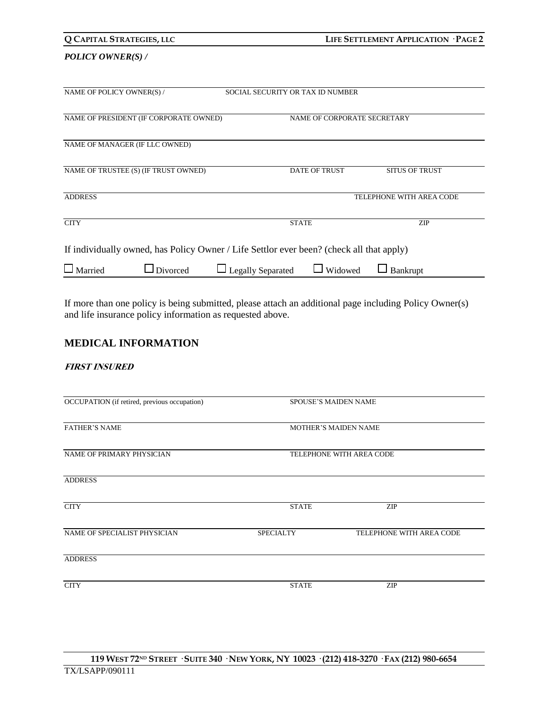| Q CAPITAL STRATEGIES, LLC |                                                                                          |                                  |              |                      | LIFE SETTLEMENT APPLICATION · PAGE 2 |
|---------------------------|------------------------------------------------------------------------------------------|----------------------------------|--------------|----------------------|--------------------------------------|
| <b>POLICY OWNER(S)/</b>   |                                                                                          |                                  |              |                      |                                      |
| NAME OF POLICY OWNER(S) / |                                                                                          | SOCIAL SECURITY OR TAX ID NUMBER |              |                      |                                      |
|                           | NAME OF PRESIDENT (IF CORPORATE OWNED)                                                   |                                  |              |                      | NAME OF CORPORATE SECRETARY          |
|                           | NAME OF MANAGER (IF LLC OWNED)                                                           |                                  |              |                      |                                      |
|                           | NAME OF TRUSTEE (S) (IF TRUST OWNED)                                                     |                                  |              | <b>DATE OF TRUST</b> | <b>SITUS OF TRUST</b>                |
| <b>ADDRESS</b>            |                                                                                          |                                  |              |                      | TELEPHONE WITH AREA CODE             |
| <b>CITY</b>               |                                                                                          |                                  | <b>STATE</b> |                      | <b>ZIP</b>                           |
|                           | If individually owned, has Policy Owner / Life Settlor ever been? (check all that apply) |                                  |              |                      |                                      |
| Married                   | Divorced                                                                                 | <b>Legally Separated</b>         |              | Widowed              | Bankrupt                             |

If more than one policy is being submitted, please attach an additional page including Policy Owner(s) and life insurance policy information as requested above.

# **MEDICAL INFORMATION**

## **FIRST INSURED**

| OCCUPATION (if retired, previous occupation) | <b>SPOUSE'S MAIDEN NAME</b> |                             |  |
|----------------------------------------------|-----------------------------|-----------------------------|--|
| <b>FATHER'S NAME</b>                         |                             | <b>MOTHER'S MAIDEN NAME</b> |  |
| NAME OF PRIMARY PHYSICIAN                    | TELEPHONE WITH AREA CODE    |                             |  |
| <b>ADDRESS</b>                               |                             |                             |  |
| <b>CITY</b>                                  | <b>STATE</b>                | <b>ZIP</b>                  |  |
| NAME OF SPECIALIST PHYSICIAN                 | <b>SPECIALTY</b>            | TELEPHONE WITH AREA CODE    |  |
| <b>ADDRESS</b>                               |                             |                             |  |
| <b>CITY</b>                                  | <b>STATE</b>                | <b>ZIP</b>                  |  |
|                                              |                             |                             |  |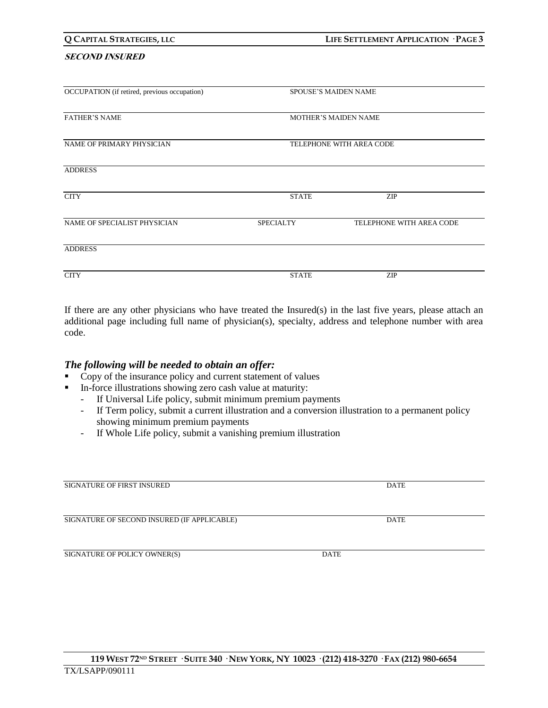# 119 WEST 72ND STREET · SUITE 340 · NEW YORK, NY 10023 · (212) 418-3270 · FAX (212) 980-6654 TX/LSAPP/090111

#### **SECOND INSURED**

| OCCUPATION (if retired, previous occupation) | <b>SPOUSE'S MAIDEN NAME</b> |                             |
|----------------------------------------------|-----------------------------|-----------------------------|
| <b>FATHER'S NAME</b>                         |                             | <b>MOTHER'S MAIDEN NAME</b> |
| NAME OF PRIMARY PHYSICIAN                    | TELEPHONE WITH AREA CODE    |                             |
| <b>ADDRESS</b>                               |                             |                             |
| <b>CITY</b>                                  | <b>STATE</b>                | <b>ZIP</b>                  |
| NAME OF SPECIALIST PHYSICIAN                 | <b>SPECIALTY</b>            | TELEPHONE WITH AREA CODE    |
| <b>ADDRESS</b>                               |                             |                             |
| <b>CITY</b>                                  | <b>STATE</b>                | <b>ZIP</b>                  |

If there are any other physicians who have treated the Insured(s) in the last five years, please attach an additional page including full name of physician(s), specialty, address and telephone number with area code.

# *The following will be needed to obtain an offer:*

- Copy of the insurance policy and current statement of values
- In-force illustrations showing zero cash value at maturity:
	- If Universal Life policy, submit minimum premium payments
	- If Term policy, submit a current illustration and a conversion illustration to a permanent policy showing minimum premium payments
	- If Whole Life policy, submit a vanishing premium illustration

| SIONATURE OF TIRST INSURED                  |      | <i>D</i> ail |
|---------------------------------------------|------|--------------|
| SIGNATURE OF SECOND INSURED (IF APPLICABLE) |      | <b>DATE</b>  |
| SIGNATURE OF POLICY OWNER(S)                | DATE |              |
|                                             |      |              |

SIGNATURE OF FIRST INSURED DATE AND INSURED DATE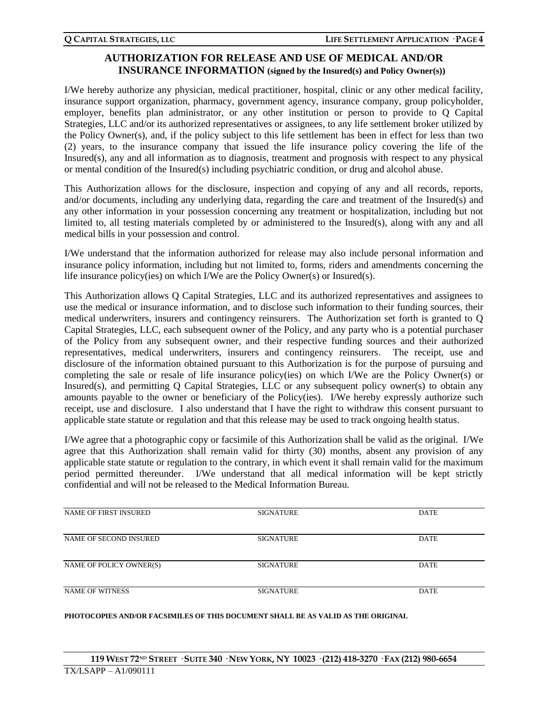# **AUTHORIZATION FOR RELEASE AND USE OF MEDICAL AND/OR INSURANCE INFORMATION (signed by the Insured(s) and Policy Owner(s))**

I/We hereby authorize any physician, medical practitioner, hospital, clinic or any other medical facility, insurance support organization, pharmacy, government agency, insurance company, group policyholder, employer, benefits plan administrator, or any other institution or person to provide to Q Capital Strategies, LLC and/or its authorized representatives or assignees, to any life settlement broker utilized by the Policy Owner(s), and, if the policy subject to this life settlement has been in effect for less than two (2) years, to the insurance company that issued the life insurance policy covering the life of the Insured(s), any and all information as to diagnosis, treatment and prognosis with respect to any physical or mental condition of the Insured(s) including psychiatric condition, or drug and alcohol abuse.

This Authorization allows for the disclosure, inspection and copying of any and all records, reports, and/or documents, including any underlying data, regarding the care and treatment of the Insured(s) and any other information in your possession concerning any treatment or hospitalization, including but not limited to, all testing materials completed by or administered to the Insured(s), along with any and all medical bills in your possession and control.

I/We understand that the information authorized for release may also include personal information and insurance policy information, including but not limited to, forms, riders and amendments concerning the life insurance policy(ies) on which I/We are the Policy Owner(s) or Insured(s).

This Authorization allows Q Capital Strategies, LLC and its authorized representatives and assignees to use the medical or insurance information, and to disclose such information to their funding sources, their medical underwriters, insurers and contingency reinsurers. The Authorization set forth is granted to Q Capital Strategies, LLC, each subsequent owner of the Policy, and any party who is a potential purchaser of the Policy from any subsequent owner, and their respective funding sources and their authorized representatives, medical underwriters, insurers and contingency reinsurers. The receipt, use and disclosure of the information obtained pursuant to this Authorization is for the purpose of pursuing and completing the sale or resale of life insurance policy(ies) on which I/We are the Policy Owner(s) or Insured(s), and permitting Q Capital Strategies, LLC or any subsequent policy owner(s) to obtain any amounts payable to the owner or beneficiary of the Policy(ies). I/We hereby expressly authorize such receipt, use and disclosure. I also understand that I have the right to withdraw this consent pursuant to applicable state statute or regulation and that this release may be used to track ongoing health status.

I/We agree that a photographic copy or facsimile of this Authorization shall be valid as the original. I/We agree that this Authorization shall remain valid for thirty (30) months, absent any provision of any applicable state statute or regulation to the contrary, in which event it shall remain valid for the maximum period permitted thereunder. I/We understand that all medical information will be kept strictly confidential and will not be released to the Medical Information Bureau.

| NAME OF FIRST INSURED   | <b>SIGNATURE</b> | <b>DATE</b> |
|-------------------------|------------------|-------------|
| NAME OF SECOND INSURED  | <b>SIGNATURE</b> | <b>DATE</b> |
| NAME OF POLICY OWNER(S) | <b>SIGNATURE</b> | <b>DATE</b> |
| <b>NAME OF WITNESS</b>  | <b>SIGNATURE</b> | <b>DATE</b> |

#### **PHOTOCOPIES AND/OR FACSIMILES OF THIS DOCUMENT SHALL BE AS VALID AS THE ORIGINAL**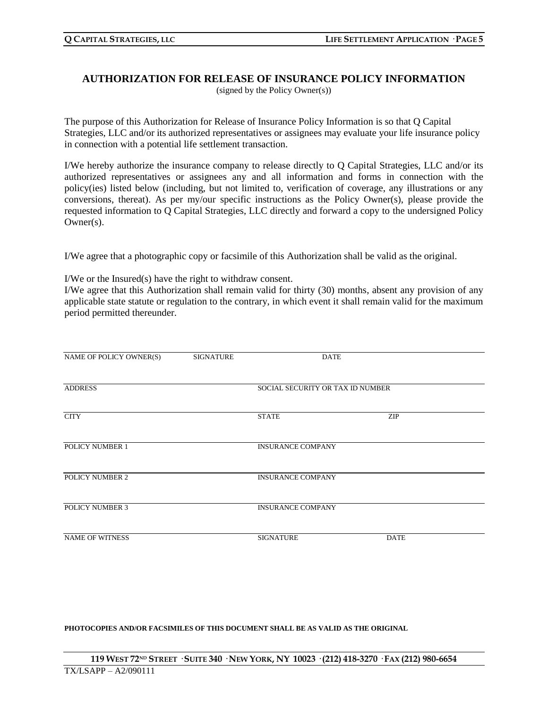### **AUTHORIZATION FOR RELEASE OF INSURANCE POLICY INFORMATION** (signed by the Policy Owner(s))

The purpose of this Authorization for Release of Insurance Policy Information is so that Q Capital Strategies, LLC and/or its authorized representatives or assignees may evaluate your life insurance policy in connection with a potential life settlement transaction.

I/We hereby authorize the insurance company to release directly to Q Capital Strategies, LLC and/or its authorized representatives or assignees any and all information and forms in connection with the policy(ies) listed below (including, but not limited to, verification of coverage, any illustrations or any conversions, thereat). As per my/our specific instructions as the Policy Owner(s), please provide the requested information to Q Capital Strategies, LLC directly and forward a copy to the undersigned Policy Owner(s).

I/We agree that a photographic copy or facsimile of this Authorization shall be valid as the original.

I/We or the Insured(s) have the right to withdraw consent.

I/We agree that this Authorization shall remain valid for thirty (30) months, absent any provision of any applicable state statute or regulation to the contrary, in which event it shall remain valid for the maximum period permitted thereunder.

| NAME OF POLICY OWNER(S) | <b>SIGNATURE</b> | <b>DATE</b>                      |             |
|-------------------------|------------------|----------------------------------|-------------|
| <b>ADDRESS</b>          |                  | SOCIAL SECURITY OR TAX ID NUMBER |             |
| <b>CITY</b>             |                  | <b>STATE</b>                     | <b>ZIP</b>  |
| POLICY NUMBER 1         |                  | <b>INSURANCE COMPANY</b>         |             |
| POLICY NUMBER 2         |                  | <b>INSURANCE COMPANY</b>         |             |
| <b>POLICY NUMBER 3</b>  |                  | <b>INSURANCE COMPANY</b>         |             |
| <b>NAME OF WITNESS</b>  |                  | <b>SIGNATURE</b>                 | <b>DATE</b> |

**PHOTOCOPIES AND/OR FACSIMILES OF THIS DOCUMENT SHALL BE AS VALID AS THE ORIGINAL**